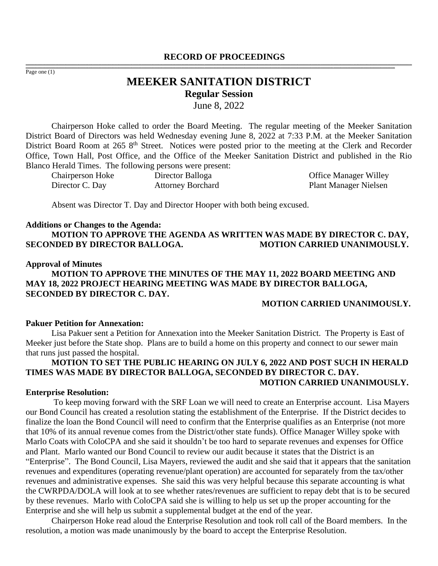#### **RECORD OF PROCEEDINGS** ,一个人都是不能在这里的,我们就是不能在这里的,我们就是我们的,我们就是我们的。""我们,我们就是我们的,我们就是我们的。""我们,我们就是我们的。""我们,我们

Page one (1)

# **MEEKER SANITATION DISTRICT Regular Session** June 8, 2022

,我们也不能会在这里,我们的人们就会不能会在这里,我们也不能会不能会不能会不能会不能会不能会不能会不能会。""我们的人们就会不能会不能会不能会不能会不能会不能会

Chairperson Hoke called to order the Board Meeting. The regular meeting of the Meeker Sanitation District Board of Directors was held Wednesday evening June 8, 2022 at 7:33 P.M. at the Meeker Sanitation District Board Room at 265 8<sup>th</sup> Street. Notices were posted prior to the meeting at the Clerk and Recorder Office, Town Hall, Post Office, and the Office of the Meeker Sanitation District and published in the Rio Blanco Herald Times. The following persons were present:

| <b>Chairperson Hoke</b> | Director Balloga         |
|-------------------------|--------------------------|
| Director C. Day         | <b>Attorney Borchard</b> |

Office Manager Willey Plant Manager Nielsen

Absent was Director T. Day and Director Hooper with both being excused.

#### **Additions or Changes to the Agenda:**

**MOTION TO APPROVE THE AGENDA AS WRITTEN WAS MADE BY DIRECTOR C. DAY, SECONDED BY DIRECTOR BALLOGA. MOTION CARRIED UNANIMOUSLY.**

#### **Approval of Minutes**

**MOTION TO APPROVE THE MINUTES OF THE MAY 11, 2022 BOARD MEETING AND MAY 18, 2022 PROJECT HEARING MEETING WAS MADE BY DIRECTOR BALLOGA, SECONDED BY DIRECTOR C. DAY.** 

#### **MOTION CARRIED UNANIMOUSLY.**

#### **Pakuer Petition for Annexation:**

Lisa Pakuer sent a Petition for Annexation into the Meeker Sanitation District. The Property is East of Meeker just before the State shop. Plans are to build a home on this property and connect to our sewer main that runs just passed the hospital.

#### **MOTION TO SET THE PUBLIC HEARING ON JULY 6, 2022 AND POST SUCH IN HERALD TIMES WAS MADE BY DIRECTOR BALLOGA, SECONDED BY DIRECTOR C. DAY. MOTION CARRIED UNANIMOUSLY.**

#### **Enterprise Resolution:**

To keep moving forward with the SRF Loan we will need to create an Enterprise account. Lisa Mayers our Bond Council has created a resolution stating the establishment of the Enterprise. If the District decides to finalize the loan the Bond Council will need to confirm that the Enterprise qualifies as an Enterprise (not more that 10% of its annual revenue comes from the District/other state funds). Office Manager Willey spoke with Marlo Coats with ColoCPA and she said it shouldn't be too hard to separate revenues and expenses for Office and Plant. Marlo wanted our Bond Council to review our audit because it states that the District is an "Enterprise". The Bond Council, Lisa Mayers, reviewed the audit and she said that it appears that the sanitation revenues and expenditures (operating revenue/plant operation) are accounted for separately from the tax/other revenues and administrative expenses. She said this was very helpful because this separate accounting is what the CWRPDA/DOLA will look at to see whether rates/revenues are sufficient to repay debt that is to be secured by these revenues. Marlo with ColoCPA said she is willing to help us set up the proper accounting for the Enterprise and she will help us submit a supplemental budget at the end of the year.

Chairperson Hoke read aloud the Enterprise Resolution and took roll call of the Board members. In the resolution, a motion was made unanimously by the board to accept the Enterprise Resolution.